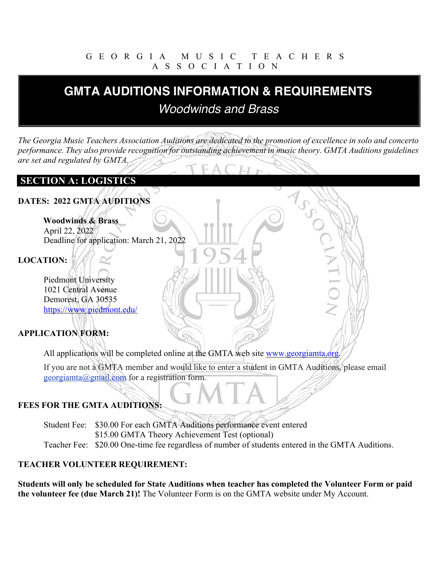#### GEORGIA MUSIC TEACHERS ASSOCIATION

# **GMTA AUDITIONS INFORMATION & REQUIREMENTS GMTA AUDITIONS INFORMATION & REQUIREMENTS** *Woodwinds and Brass Woodwinds and Brass*

*The Georgia Music Teachers Association Auditions are dedicated to the promotion of excellence in solo and concerto performance. They also provide recognition for outstanding achievement in music theory. GMTA Auditions guidelines are set and regulated by GMTA.*

MSCOT

#### **SECTION A: LOGISTICS**

#### **DATES: 2022 GMTA AUDITIONS**

# **Woodwinds & Brass**

April 22, 2022 Deadline for application: March 21, 2022

#### **LOCATION:**

Piedmont University 1021 Central Avenue Demorest, GA 30535 https://www.piedmont.edu/

#### **APPLICATION FORM:**

All applications will be completed online at the GMTA web site www.georgiamta.org.

If you are not a GMTA member and would like to enter a student in GMTA Auditions, please email georgiamta@gmail.com for a registration form.

#### **FEES FOR THE GMTA AUDITIONS:**

Student Fee: \$30.00 For each GMTA Auditions performance event entered \$15.00 GMTA Theory Achievement Test (optional) Teacher Fee: \$20.00 One-time fee regardless of number of students entered in the GMTA Auditions.

#### **TEACHER VOLUNTEER REQUIREMENT:**

**Students will only be scheduled for State Auditions when teacher has completed the Volunteer Form or paid the volunteer fee (due March 21)!** The Volunteer Form is on the GMTA website under My Account.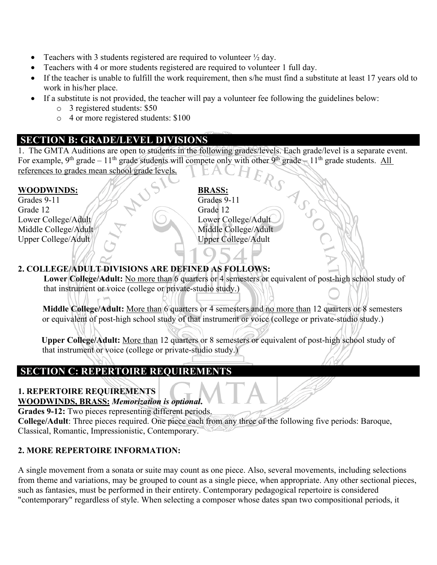- Teachers with 3 students registered are required to volunteer  $\frac{1}{2}$  day.
- Teachers with 4 or more students registered are required to volunteer 1 full day.
- If the teacher is unable to fulfill the work requirement, then s/he must find a substitute at least 17 years old to work in his/her place.
- If a substitute is not provided, the teacher will pay a volunteer fee following the guidelines below:
	- o 3 registered students: \$50
	- o 4 or more registered students: \$100

#### **SECTION B: GRADE/LEVEL DIVISIONS**

1. The GMTA Auditions are open to students in the following grades/levels. Each grade/level is a separate event.<br>For example,  $9^{\text{th}}$  grade  $-11^{\text{th}}$  grade  $-11^{\text{th}}$  grade  $-11^{\text{th}}$  grade students. All<br>references For example, 9<sup>th</sup> grade – 11<sup>th</sup> grade students will compete only with other 9<sup>th</sup> grade – 11<sup>th</sup> grade students. All references to grades mean school grade levels.

#### **WOODWINDS: BRASS:**

Grades 9-11 Grades 9-11 Grade 12 Grade 12 Lower College/Adult // Lower College/Adult Middle College/Adult Middle College/Adult Upper College/Adult Upper College/Adult

#### **2. COLLEGE/ADULT DIVISIONS ARE DEFINED AS FOLLOWS:**

**Lower College/Adult:** No more than 6 quarters or 4 semesters or equivalent of post-high school study of that instrument or voice (college or private-studio study.)

**Middle College/Adult:** More than 6 quarters or 4 semesters and no more than 12 quarters or 8 semesters or equivalent of post-high school study of that instrument or voice (college or private-studio study.)

 **Upper College/Adult:** More than 12 quarters or 8 semesters or equivalent of post-high school study of that instrument or voice (college or private-studio study.)

### **SECTION C: REPERTOIRE REQUIREMENTS**

#### **1. REPERTOIRE REQUIREMENTS**

#### **WOODWINDS, BRASS:** *Memorization is optional***.**

**Grades 9-12:** Two pieces representing different periods.

**College/Adult**: Three pieces required. One piece each from any three of the following five periods: Baroque, Classical, Romantic, Impressionistic, Contemporary.

#### **2. MORE REPERTOIRE INFORMATION:**

A single movement from a sonata or suite may count as one piece. Also, several movements, including selections from theme and variations, may be grouped to count as a single piece, when appropriate. Any other sectional pieces, such as fantasies, must be performed in their entirety. Contemporary pedagogical repertoire is considered "contemporary" regardless of style. When selecting a composer whose dates span two compositional periods, it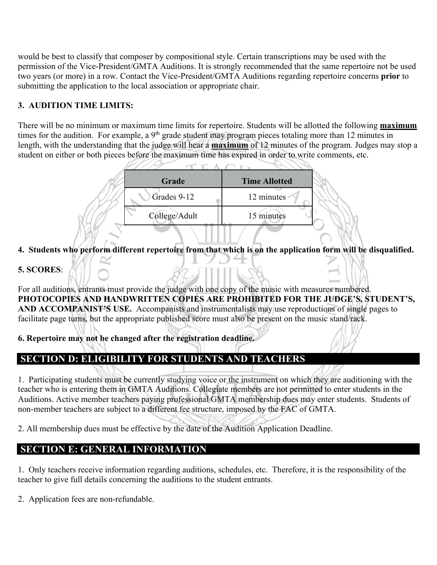would be best to classify that composer by compositional style. Certain transcriptions may be used with the permission of the Vice-President/GMTA Auditions. It is strongly recommended that the same repertoire not be used two years (or more) in a row. Contact the Vice-President/GMTA Auditions regarding repertoire concerns **prior** to submitting the application to the local association or appropriate chair.

#### **3. AUDITION TIME LIMITS:**

There will be no minimum or maximum time limits for repertoire. Students will be allotted the following **maximum** times for the audition. For example, a 9<sup>th</sup> grade student may program pieces totaling more than 12 minutes in length, with the understanding that the judge will hear a **maximum** of 12 minutes of the program. Judges may stop a student on either or both pieces before the maximum time has expired in order to write comments, etc.

| Grade         | <b>Time Allotted</b> |
|---------------|----------------------|
| Grades 9-12   | 12 minutes           |
| College/Adult | 15 minutes           |

**4. Students who perform different repertoire from that which is on the application form will be disqualified.**

#### **5. SCORES**:

For all auditions, entrants must provide the judge with one copy of the music with measures numbered. **PHOTOCOPIES AND HANDWRITTEN COPIES ARE PROHIBITED FOR THE JUDGE'S, STUDENT'S, AND ACCOMPANIST'S USE.** Accompanists and instrumentalists may use reproductions of single pages to facilitate page turns, but the appropriate published score must also be present on the music stand/rack.

**6. Repertoire may not be changed after the registration deadline.**

# **SECTION D: ELIGIBILITY FOR STUDENTS AND TEACHERS**

1. Participating students must be currently studying voice or the instrument on which they are auditioning with the teacher who is entering them in GMTA Auditions. Collegiate members are not permitted to enter students in the Auditions. Active member teachers paying professional GMTA membership dues may enter students. Students of non-member teachers are subject to a different fee structure, imposed by the FAC of GMTA.

2. All membership dues must be effective by the date of the Audition Application Deadline.

#### **SECTION E: GENERAL INFORMATION**

1. Only teachers receive information regarding auditions, schedules, etc. Therefore, it is the responsibility of the teacher to give full details concerning the auditions to the student entrants.

2. Application fees are non-refundable.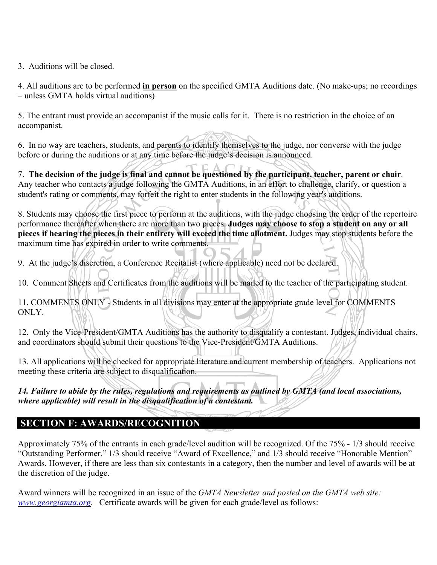3. Auditions will be closed.

4. All auditions are to be performed **in person** on the specified GMTA Auditions date. (No make-ups; no recordings – unless GMTA holds virtual auditions)

5. The entrant must provide an accompanist if the music calls for it. There is no restriction in the choice of an accompanist.

6. In no way are teachers, students, and parents to identify themselves to the judge, nor converse with the judge before or during the auditions or at any time before the judge's decision is announced.

7. **The decision of the judge is final and cannot be questioned by the participant, teacher, parent or chair**. Any teacher who contacts a judge following the GMTA Auditions, in an effort to challenge, clarify, or question a student's rating or comments, may forfeit the right to enter students in the following year's auditions.

8. Students may choose the first piece to perform at the auditions, with the judge choosing the order of the repertoire performance thereafter when there are more than two pieces. **Judges may choose to stop a student on any or all pieces if hearing the pieces in their entirety will exceed the time allotment.** Judges may stop students before the maximum time has expired in order to write comments.

9. At the judge's discretion, a Conference Recitalist (where applicable) need not be declared.

10. Comment Sheets and Certificates from the auditions will be mailed to the teacher of the participating student.

11. COMMENTS ONLY - Students in all divisions may enter at the appropriate grade level for COMMENTS ONLY.

12. Only the Vice-President/GMTA Auditions has the authority to disqualify a contestant. Judges, individual chairs, and coordinators should submit their questions to the Vice-President/GMTA Auditions.

13. All applications will be checked for appropriate literature and current membership of teachers. Applications not meeting these criteria are subject to disqualification.

*14. Failure to abide by the rules, regulations and requirements as outlined by GMTA (and local associations, where applicable) will result in the disqualification of a contestant.* 

#### **SECTION F: AWARDS/RECOGNITION**

Approximately 75% of the entrants in each grade/level audition will be recognized. Of the 75% - 1/3 should receive "Outstanding Performer," 1/3 should receive "Award of Excellence," and 1/3 should receive "Honorable Mention" Awards. However, if there are less than six contestants in a category, then the number and level of awards will be at the discretion of the judge.

Award winners will be recognized in an issue of the *GMTA Newsletter and posted on the GMTA web site: www.georgiamta.org.* Certificate awards will be given for each grade/level as follows: